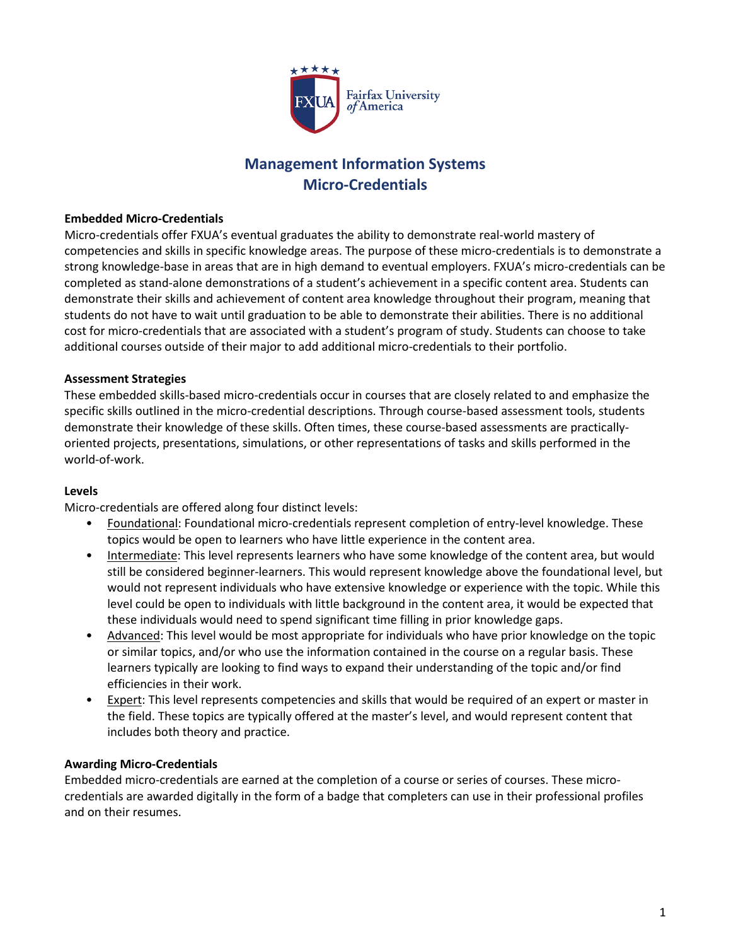

# **Management Information Systems Micro-Credentials**

#### **Embedded Micro-Credentials**

Micro-credentials offer FXUA's eventual graduates the ability to demonstrate real-world mastery of competencies and skills in specific knowledge areas. The purpose of these micro-credentials is to demonstrate a strong knowledge-base in areas that are in high demand to eventual employers. FXUA's micro-credentials can be completed as stand-alone demonstrations of a student's achievement in a specific content area. Students can demonstrate their skills and achievement of content area knowledge throughout their program, meaning that students do not have to wait until graduation to be able to demonstrate their abilities. There is no additional cost for micro-credentials that are associated with a student's program of study. Students can choose to take additional courses outside of their major to add additional micro-credentials to their portfolio.

#### **Assessment Strategies**

These embedded skills-based micro-credentials occur in courses that are closely related to and emphasize the specific skills outlined in the micro-credential descriptions. Through course-based assessment tools, students demonstrate their knowledge of these skills. Often times, these course-based assessments are practicallyoriented projects, presentations, simulations, or other representations of tasks and skills performed in the world-of-work.

#### **Levels**

Micro-credentials are offered along four distinct levels:

- Foundational: Foundational micro-credentials represent completion of entry-level knowledge. These topics would be open to learners who have little experience in the content area.
- Intermediate: This level represents learners who have some knowledge of the content area, but would still be considered beginner-learners. This would represent knowledge above the foundational level, but would not represent individuals who have extensive knowledge or experience with the topic. While this level could be open to individuals with little background in the content area, it would be expected that these individuals would need to spend significant time filling in prior knowledge gaps.
- Advanced: This level would be most appropriate for individuals who have prior knowledge on the topic or similar topics, and/or who use the information contained in the course on a regular basis. These learners typically are looking to find ways to expand their understanding of the topic and/or find efficiencies in their work.
- **Expert:** This level represents competencies and skills that would be required of an expert or master in the field. These topics are typically offered at the master's level, and would represent content that includes both theory and practice.

#### **Awarding Micro-Credentials**

Embedded micro-credentials are earned at the completion of a course or series of courses. These microcredentials are awarded digitally in the form of a badge that completers can use in their professional profiles and on their resumes.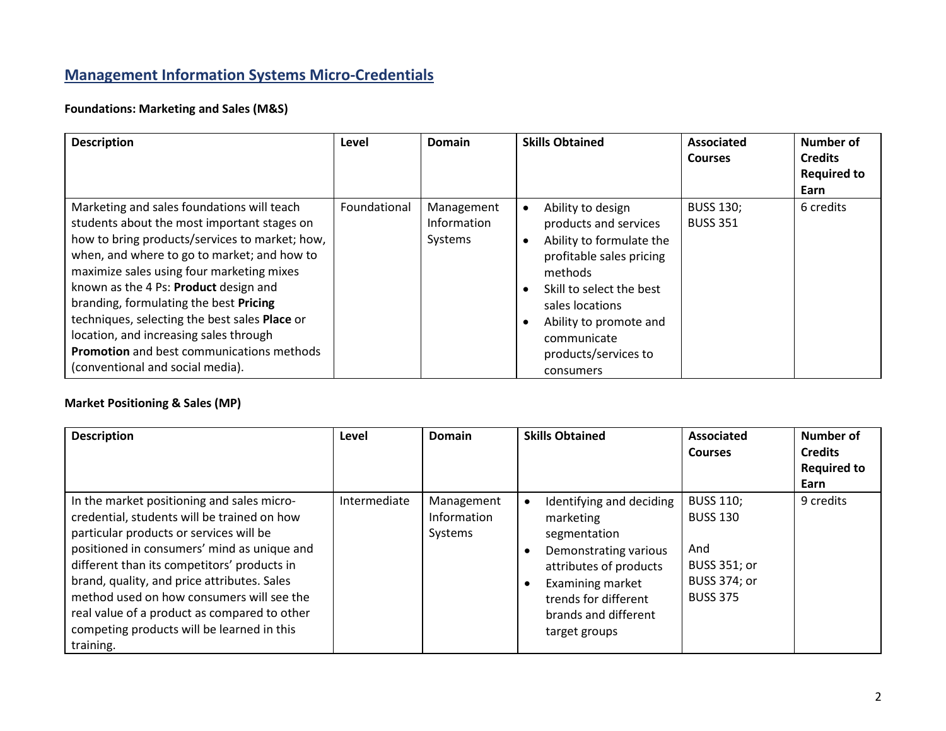# **Management Information Systems Micro-Credentials**

## **Foundations: Marketing and Sales (M&S)**

| <b>Description</b>                                                                                                                                                                                                                                                                                                                                                                                                                                                                                            | Level        | <b>Domain</b>                        | <b>Skills Obtained</b>                                                                                                                                                                                                                     | Associated<br><b>Courses</b>        | Number of<br><b>Credits</b><br><b>Required to</b><br>Earn |
|---------------------------------------------------------------------------------------------------------------------------------------------------------------------------------------------------------------------------------------------------------------------------------------------------------------------------------------------------------------------------------------------------------------------------------------------------------------------------------------------------------------|--------------|--------------------------------------|--------------------------------------------------------------------------------------------------------------------------------------------------------------------------------------------------------------------------------------------|-------------------------------------|-----------------------------------------------------------|
| Marketing and sales foundations will teach<br>students about the most important stages on<br>how to bring products/services to market; how,<br>when, and where to go to market; and how to<br>maximize sales using four marketing mixes<br>known as the 4 Ps: Product design and<br>branding, formulating the best Pricing<br>techniques, selecting the best sales Place or<br>location, and increasing sales through<br><b>Promotion</b> and best communications methods<br>(conventional and social media). | Foundational | Management<br>Information<br>Systems | Ability to design<br>products and services<br>Ability to formulate the<br>profitable sales pricing<br>methods<br>Skill to select the best<br>sales locations<br>Ability to promote and<br>communicate<br>products/services to<br>consumers | <b>BUSS 130;</b><br><b>BUSS 351</b> | 6 credits                                                 |

## **Market Positioning & Sales (MP)**

| <b>Description</b>                                                                                                                                                                                                                                                                                                                                                                                                                        | Level        | <b>Domain</b>                        | <b>Skills Obtained</b>                                                                                                                                                                                     | Associated<br><b>Courses</b>                                                                  | Number of<br><b>Credits</b><br><b>Required to</b><br>Earn |
|-------------------------------------------------------------------------------------------------------------------------------------------------------------------------------------------------------------------------------------------------------------------------------------------------------------------------------------------------------------------------------------------------------------------------------------------|--------------|--------------------------------------|------------------------------------------------------------------------------------------------------------------------------------------------------------------------------------------------------------|-----------------------------------------------------------------------------------------------|-----------------------------------------------------------|
| In the market positioning and sales micro-<br>credential, students will be trained on how<br>particular products or services will be<br>positioned in consumers' mind as unique and<br>different than its competitors' products in<br>brand, quality, and price attributes. Sales<br>method used on how consumers will see the<br>real value of a product as compared to other<br>competing products will be learned in this<br>training. | Intermediate | Management<br>Information<br>Systems | Identifying and deciding<br>$\bullet$<br>marketing<br>segmentation<br>Demonstrating various<br>attributes of products<br>Examining market<br>trends for different<br>brands and different<br>target groups | <b>BUSS 110;</b><br><b>BUSS 130</b><br>And<br>BUSS 351; or<br>BUSS 374; or<br><b>BUSS 375</b> | 9 credits                                                 |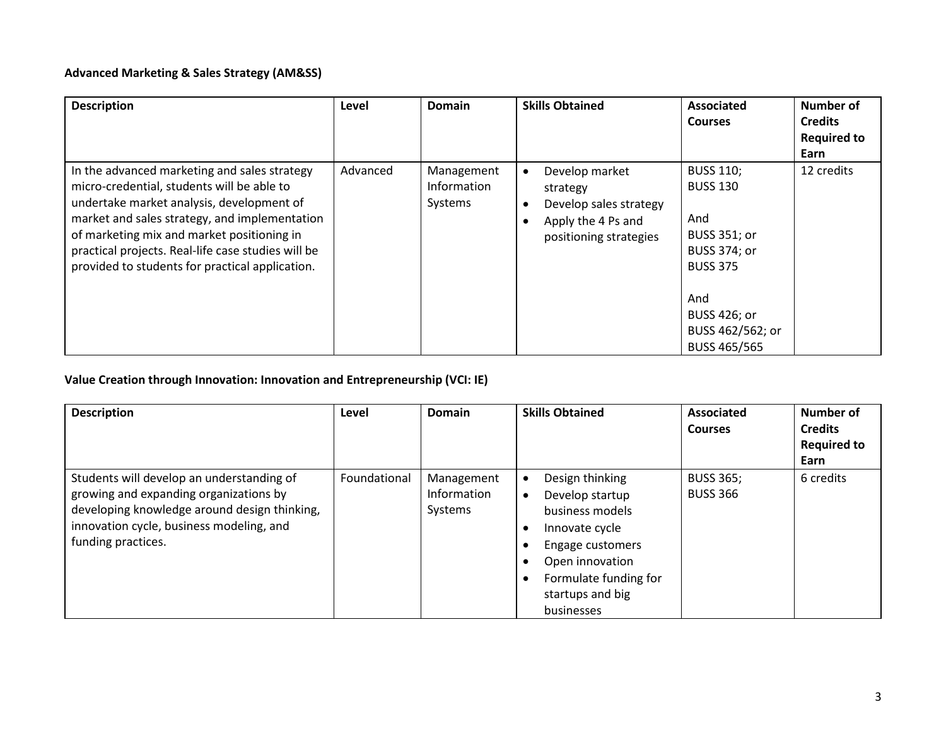## **Advanced Marketing & Sales Strategy (AM&SS)**

| <b>Description</b>                                 | Level    | Domain      | <b>Skills Obtained</b>      | <b>Associated</b>   | <b>Number of</b>   |
|----------------------------------------------------|----------|-------------|-----------------------------|---------------------|--------------------|
|                                                    |          |             |                             | <b>Courses</b>      | <b>Credits</b>     |
|                                                    |          |             |                             |                     | <b>Required to</b> |
|                                                    |          |             |                             |                     | Earn               |
| In the advanced marketing and sales strategy       | Advanced | Management  | Develop market<br>$\bullet$ | <b>BUSS 110;</b>    | 12 credits         |
| micro-credential, students will be able to         |          | Information | strategy                    | <b>BUSS 130</b>     |                    |
| undertake market analysis, development of          |          | Systems     | Develop sales strategy      |                     |                    |
| market and sales strategy, and implementation      |          |             | Apply the 4 Ps and          | And                 |                    |
| of marketing mix and market positioning in         |          |             | positioning strategies      | BUSS 351; or        |                    |
| practical projects. Real-life case studies will be |          |             |                             | <b>BUSS 374; or</b> |                    |
| provided to students for practical application.    |          |             |                             | <b>BUSS 375</b>     |                    |
|                                                    |          |             |                             |                     |                    |
|                                                    |          |             |                             | And                 |                    |
|                                                    |          |             |                             | BUSS 426; or        |                    |
|                                                    |          |             |                             | BUSS 462/562; or    |                    |
|                                                    |          |             |                             | BUSS 465/565        |                    |

## **Value Creation through Innovation: Innovation and Entrepreneurship (VCI: IE)**

| <b>Description</b>                                                                                                                                                                                    | Level        | Domain                               | <b>Skills Obtained</b>                                                                                                                                                                              | <b>Associated</b><br><b>Courses</b> | Number of<br><b>Credits</b><br><b>Required to</b><br>Earn |
|-------------------------------------------------------------------------------------------------------------------------------------------------------------------------------------------------------|--------------|--------------------------------------|-----------------------------------------------------------------------------------------------------------------------------------------------------------------------------------------------------|-------------------------------------|-----------------------------------------------------------|
| Students will develop an understanding of<br>growing and expanding organizations by<br>developing knowledge around design thinking,<br>innovation cycle, business modeling, and<br>funding practices. | Foundational | Management<br>Information<br>Systems | Design thinking<br>$\bullet$<br>Develop startup<br>$\bullet$<br>business models<br>Innovate cycle<br>Engage customers<br>Open innovation<br>Formulate funding for<br>startups and big<br>businesses | <b>BUSS 365;</b><br><b>BUSS 366</b> | 6 credits                                                 |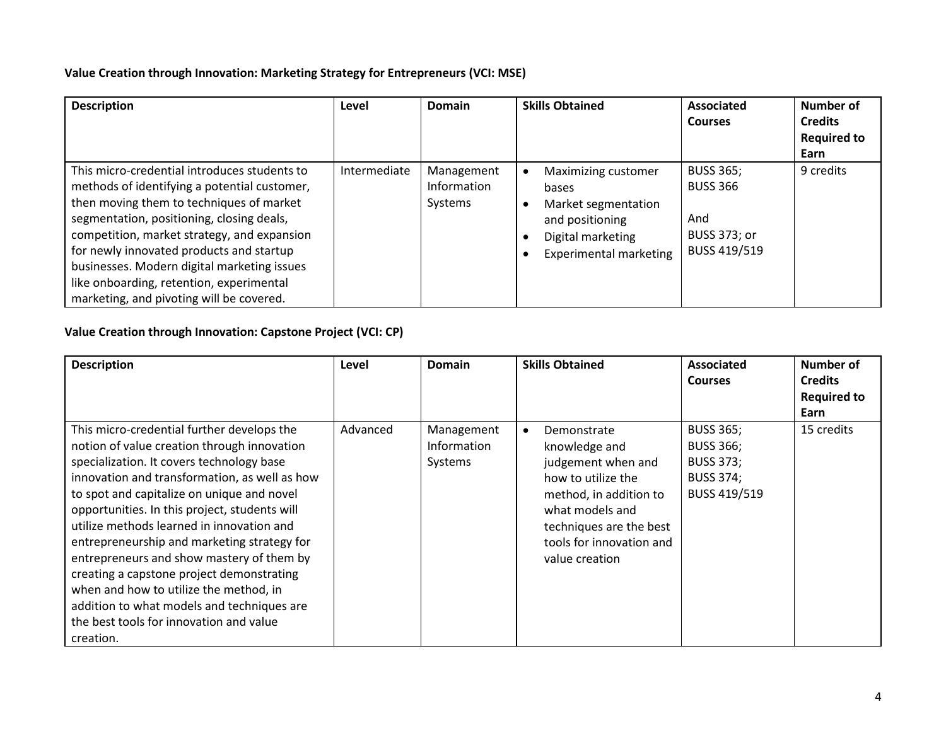#### **Value Creation through Innovation: Marketing Strategy for Entrepreneurs (VCI: MSE)**

| <b>Description</b>                                                                                                                                                                                                                                                                                                                                                                                                      | Level        | Domain                               | <b>Skills Obtained</b>                                                                                                                    | Associated<br>Courses                                                             | Number of<br><b>Credits</b><br><b>Required to</b><br>Earn |
|-------------------------------------------------------------------------------------------------------------------------------------------------------------------------------------------------------------------------------------------------------------------------------------------------------------------------------------------------------------------------------------------------------------------------|--------------|--------------------------------------|-------------------------------------------------------------------------------------------------------------------------------------------|-----------------------------------------------------------------------------------|-----------------------------------------------------------|
| This micro-credential introduces students to<br>methods of identifying a potential customer,<br>then moving them to techniques of market<br>segmentation, positioning, closing deals,<br>competition, market strategy, and expansion<br>for newly innovated products and startup<br>businesses. Modern digital marketing issues<br>like onboarding, retention, experimental<br>marketing, and pivoting will be covered. | Intermediate | Management<br>Information<br>Systems | Maximizing customer<br>$\bullet$<br>bases<br>Market segmentation<br>and positioning<br>Digital marketing<br><b>Experimental marketing</b> | <b>BUSS 365;</b><br><b>BUSS 366</b><br>And<br><b>BUSS 373; or</b><br>BUSS 419/519 | 9 credits                                                 |

## **Value Creation through Innovation: Capstone Project (VCI: CP)**

| <b>Description</b>                                                                                                                                                                                                                                                                                                                                                                                                                                                                                                                                                                                                           | Level    | Domain                               | <b>Skills Obtained</b>                                                                                                                                                                                      | Associated<br><b>Courses</b>                                                                 | Number of<br><b>Credits</b><br><b>Required to</b><br>Earn |
|------------------------------------------------------------------------------------------------------------------------------------------------------------------------------------------------------------------------------------------------------------------------------------------------------------------------------------------------------------------------------------------------------------------------------------------------------------------------------------------------------------------------------------------------------------------------------------------------------------------------------|----------|--------------------------------------|-------------------------------------------------------------------------------------------------------------------------------------------------------------------------------------------------------------|----------------------------------------------------------------------------------------------|-----------------------------------------------------------|
| This micro-credential further develops the<br>notion of value creation through innovation<br>specialization. It covers technology base<br>innovation and transformation, as well as how<br>to spot and capitalize on unique and novel<br>opportunities. In this project, students will<br>utilize methods learned in innovation and<br>entrepreneurship and marketing strategy for<br>entrepreneurs and show mastery of them by<br>creating a capstone project demonstrating<br>when and how to utilize the method, in<br>addition to what models and techniques are<br>the best tools for innovation and value<br>creation. | Advanced | Management<br>Information<br>Systems | Demonstrate<br>$\bullet$<br>knowledge and<br>judgement when and<br>how to utilize the<br>method, in addition to<br>what models and<br>techniques are the best<br>tools for innovation and<br>value creation | <b>BUSS 365;</b><br><b>BUSS 366;</b><br><b>BUSS 373;</b><br><b>BUSS 374;</b><br>BUSS 419/519 | 15 credits                                                |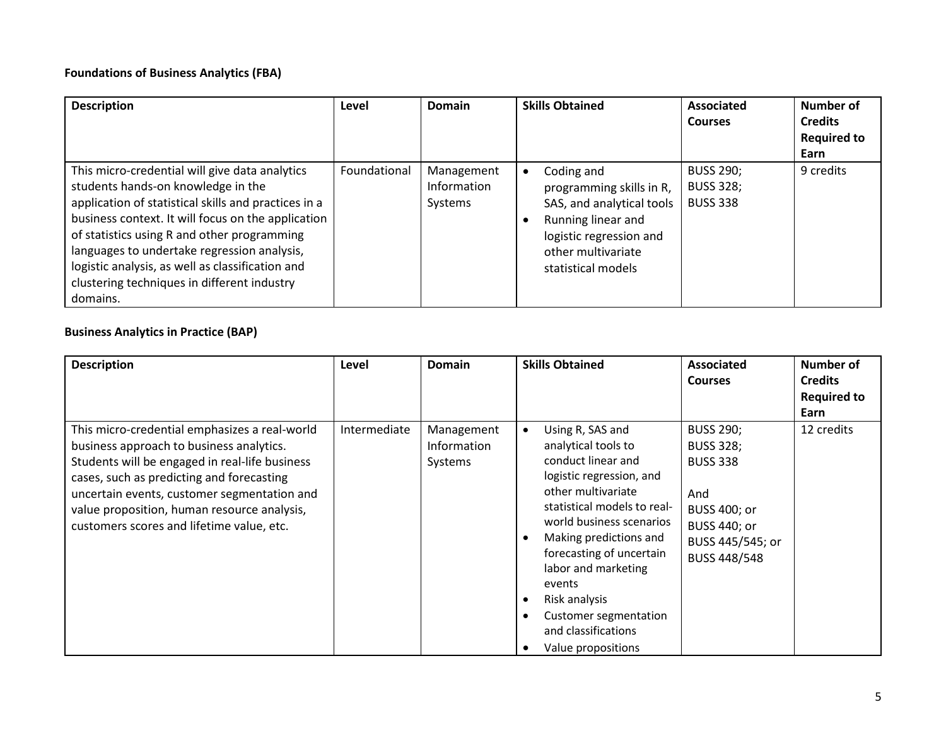#### **Foundations of Business Analytics (FBA)**

| <b>Description</b>                                                                                                                                                                                                                                                                                                                                                                                              | Level        | Domain                               | <b>Skills Obtained</b>                                                                                                                                           | <b>Associated</b><br><b>Courses</b>                     | Number of<br><b>Credits</b><br><b>Required to</b><br>Earn |
|-----------------------------------------------------------------------------------------------------------------------------------------------------------------------------------------------------------------------------------------------------------------------------------------------------------------------------------------------------------------------------------------------------------------|--------------|--------------------------------------|------------------------------------------------------------------------------------------------------------------------------------------------------------------|---------------------------------------------------------|-----------------------------------------------------------|
| This micro-credential will give data analytics<br>students hands-on knowledge in the<br>application of statistical skills and practices in a<br>business context. It will focus on the application<br>of statistics using R and other programming<br>languages to undertake regression analysis,<br>logistic analysis, as well as classification and<br>clustering techniques in different industry<br>domains. | Foundational | Management<br>Information<br>Systems | Coding and<br>programming skills in R,<br>SAS, and analytical tools<br>Running linear and<br>logistic regression and<br>other multivariate<br>statistical models | <b>BUSS 290;</b><br><b>BUSS 328;</b><br><b>BUSS 338</b> | 9 credits                                                 |

## **Business Analytics in Practice (BAP)**

| <b>Description</b>                                                                                                                                                                                                                                                                                                                  | Level        | Domain                                      | <b>Skills Obtained</b>                                                                                                                                                                                                                                                                                                                                   | <b>Associated</b><br><b>Courses</b>                                                                                                              | <b>Number of</b><br><b>Credits</b><br><b>Required to</b><br>Earn |
|-------------------------------------------------------------------------------------------------------------------------------------------------------------------------------------------------------------------------------------------------------------------------------------------------------------------------------------|--------------|---------------------------------------------|----------------------------------------------------------------------------------------------------------------------------------------------------------------------------------------------------------------------------------------------------------------------------------------------------------------------------------------------------------|--------------------------------------------------------------------------------------------------------------------------------------------------|------------------------------------------------------------------|
| This micro-credential emphasizes a real-world<br>business approach to business analytics.<br>Students will be engaged in real-life business<br>cases, such as predicting and forecasting<br>uncertain events, customer segmentation and<br>value proposition, human resource analysis,<br>customers scores and lifetime value, etc. | Intermediate | Management<br><b>Information</b><br>Systems | Using R, SAS and<br>analytical tools to<br>conduct linear and<br>logistic regression, and<br>other multivariate<br>statistical models to real-<br>world business scenarios<br>Making predictions and<br>forecasting of uncertain<br>labor and marketing<br>events<br>Risk analysis<br>Customer segmentation<br>and classifications<br>Value propositions | <b>BUSS 290;</b><br><b>BUSS 328;</b><br><b>BUSS 338</b><br>And<br>BUSS 400; or<br><b>BUSS 440; or</b><br>BUSS 445/545; or<br><b>BUSS 448/548</b> | 12 credits                                                       |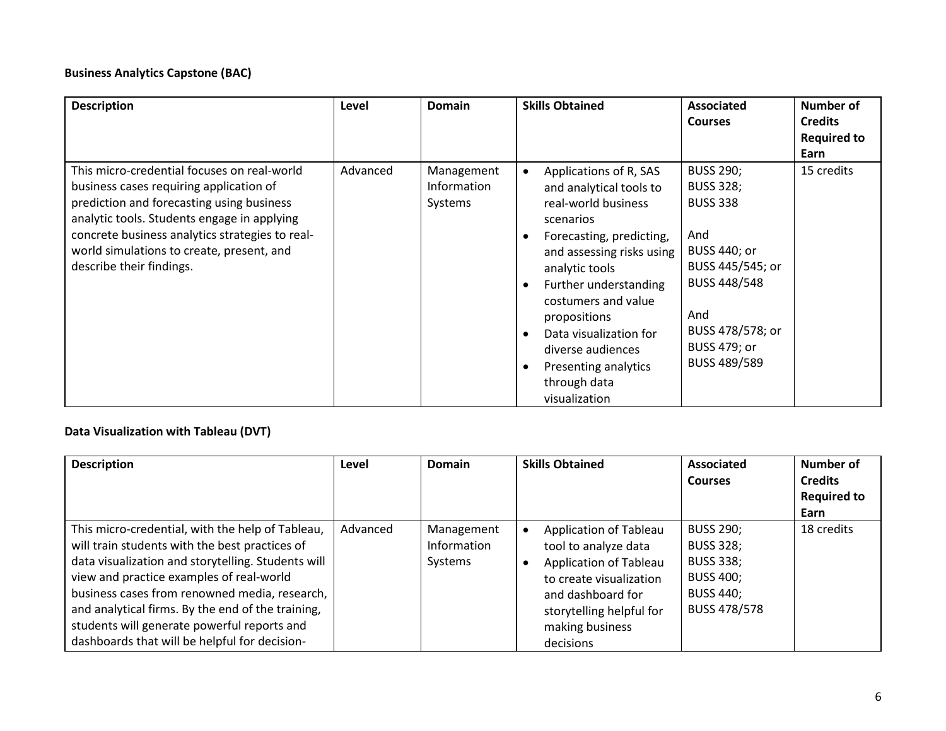#### **Business Analytics Capstone (BAC)**

| <b>Description</b>                                                                                                                                                                                                                                                                                             | Level    | <b>Domain</b>                        | <b>Skills Obtained</b>                                                                                                                                                                                                                                                                                                                                             | Associated<br><b>Courses</b>                                                                                                                                                                       | Number of<br><b>Credits</b><br><b>Required to</b><br>Earn |
|----------------------------------------------------------------------------------------------------------------------------------------------------------------------------------------------------------------------------------------------------------------------------------------------------------------|----------|--------------------------------------|--------------------------------------------------------------------------------------------------------------------------------------------------------------------------------------------------------------------------------------------------------------------------------------------------------------------------------------------------------------------|----------------------------------------------------------------------------------------------------------------------------------------------------------------------------------------------------|-----------------------------------------------------------|
| This micro-credential focuses on real-world<br>business cases requiring application of<br>prediction and forecasting using business<br>analytic tools. Students engage in applying<br>concrete business analytics strategies to real-<br>world simulations to create, present, and<br>describe their findings. | Advanced | Management<br>Information<br>Systems | Applications of R, SAS<br>$\bullet$<br>and analytical tools to<br>real-world business<br>scenarios<br>Forecasting, predicting,<br>and assessing risks using<br>analytic tools<br>Further understanding<br>$\bullet$<br>costumers and value<br>propositions<br>Data visualization for<br>diverse audiences<br>Presenting analytics<br>through data<br>visualization | <b>BUSS 290;</b><br><b>BUSS 328;</b><br><b>BUSS 338</b><br>And<br><b>BUSS 440; or</b><br>BUSS 445/545; or<br><b>BUSS 448/548</b><br>And<br>BUSS 478/578; or<br><b>BUSS 479; or</b><br>BUSS 489/589 | 15 credits                                                |

## **Data Visualization with Tableau (DVT)**

| <b>Description</b>                                                                                                                                                                                                                                                                                                                                                                                         | Level    | <b>Domain</b>                        | <b>Skills Obtained</b>                                                                                                                                                               | Associated<br><b>Courses</b>                                                                                            | Number of<br><b>Credits</b><br><b>Required to</b><br>Earn |
|------------------------------------------------------------------------------------------------------------------------------------------------------------------------------------------------------------------------------------------------------------------------------------------------------------------------------------------------------------------------------------------------------------|----------|--------------------------------------|--------------------------------------------------------------------------------------------------------------------------------------------------------------------------------------|-------------------------------------------------------------------------------------------------------------------------|-----------------------------------------------------------|
| This micro-credential, with the help of Tableau,<br>will train students with the best practices of<br>data visualization and storytelling. Students will<br>view and practice examples of real-world<br>business cases from renowned media, research,<br>and analytical firms. By the end of the training,<br>students will generate powerful reports and<br>dashboards that will be helpful for decision- | Advanced | Management<br>Information<br>Systems | Application of Tableau<br>tool to analyze data<br>Application of Tableau<br>to create visualization<br>and dashboard for<br>storytelling helpful for<br>making business<br>decisions | <b>BUSS 290;</b><br><b>BUSS 328;</b><br><b>BUSS 338;</b><br><b>BUSS 400;</b><br><b>BUSS 440;</b><br><b>BUSS 478/578</b> | 18 credits                                                |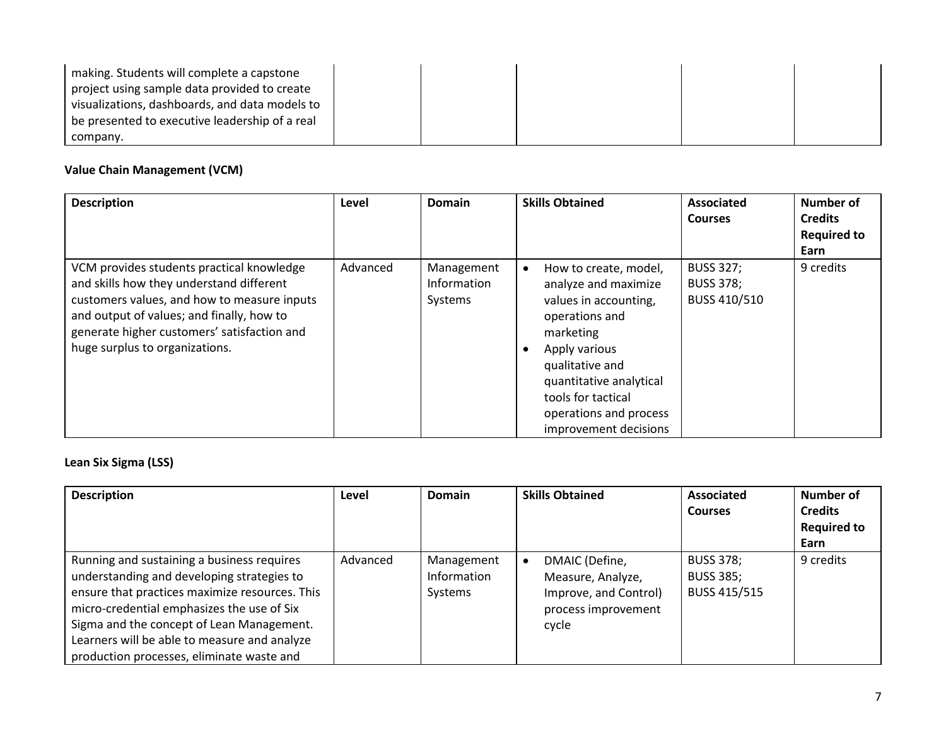| making. Students will complete a capstone      |  |  |  |
|------------------------------------------------|--|--|--|
| project using sample data provided to create   |  |  |  |
| visualizations, dashboards, and data models to |  |  |  |
| be presented to executive leadership of a real |  |  |  |
| company.                                       |  |  |  |

## **Value Chain Management (VCM)**

| <b>Description</b>                                                                                                                                                                                                                                                 | Level    | <b>Domain</b>                        | <b>Skills Obtained</b>                                                                                                                                                                                                                        | <b>Associated</b><br><b>Courses</b>                  | Number of<br><b>Credits</b><br><b>Required to</b><br>Earn |
|--------------------------------------------------------------------------------------------------------------------------------------------------------------------------------------------------------------------------------------------------------------------|----------|--------------------------------------|-----------------------------------------------------------------------------------------------------------------------------------------------------------------------------------------------------------------------------------------------|------------------------------------------------------|-----------------------------------------------------------|
| VCM provides students practical knowledge<br>and skills how they understand different<br>customers values, and how to measure inputs<br>and output of values; and finally, how to<br>generate higher customers' satisfaction and<br>huge surplus to organizations. | Advanced | Management<br>Information<br>Systems | How to create, model,<br>analyze and maximize<br>values in accounting,<br>operations and<br>marketing<br>Apply various<br>qualitative and<br>quantitative analytical<br>tools for tactical<br>operations and process<br>improvement decisions | <b>BUSS 327;</b><br><b>BUSS 378;</b><br>BUSS 410/510 | 9 credits                                                 |

#### **Lean Six Sigma (LSS)**

| <b>Description</b>                                                                                                                                                                                                                                                                                                                 | Level    | <b>Domain</b>                        | <b>Skills Obtained</b>                                                                       | Associated<br><b>Courses</b>                         | Number of<br><b>Credits</b><br><b>Required to</b><br>Earn |
|------------------------------------------------------------------------------------------------------------------------------------------------------------------------------------------------------------------------------------------------------------------------------------------------------------------------------------|----------|--------------------------------------|----------------------------------------------------------------------------------------------|------------------------------------------------------|-----------------------------------------------------------|
| Running and sustaining a business requires<br>understanding and developing strategies to<br>ensure that practices maximize resources. This<br>micro-credential emphasizes the use of Six<br>Sigma and the concept of Lean Management.<br>Learners will be able to measure and analyze<br>production processes, eliminate waste and | Advanced | Management<br>Information<br>Systems | DMAIC (Define,<br>Measure, Analyze,<br>Improve, and Control)<br>process improvement<br>cycle | <b>BUSS 378;</b><br><b>BUSS 385;</b><br>BUSS 415/515 | 9 credits                                                 |